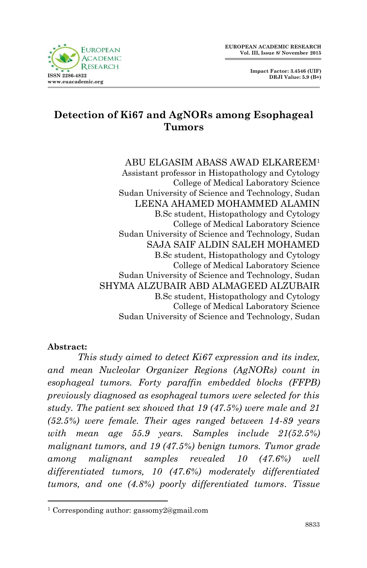



# **Detection of Ki67 and AgNORs among Esophageal Tumors**

# ABU ELGASIM ABASS AWAD ELKAREEM<sup>1</sup>

Assistant professor in Histopathology and Cytology College of Medical Laboratory Science Sudan University of Science and Technology, Sudan LEENA AHAMED MOHAMMED ALAMIN B.Sc student, Histopathology and Cytology College of Medical Laboratory Science Sudan University of Science and Technology, Sudan SAJA SAIF ALDIN SALEH MOHAMED B.Sc student, Histopathology and Cytology College of Medical Laboratory Science Sudan University of Science and Technology, Sudan SHYMA ALZUBAIR ABD ALMAGEED ALZUBAIR B.Sc student, Histopathology and Cytology College of Medical Laboratory Science Sudan University of Science and Technology, Sudan

#### **Abstract:**

1

*This study aimed to detect Ki67 expression and its index, and mean Nucleolar Organizer Regions (AgNORs) count in esophageal tumors. Forty paraffin embedded blocks (FFPB) previously diagnosed as esophageal tumors were selected for this study. The patient sex showed that 19 (47.5%) were male and 21 (52.5%) were female. Their ages ranged between 14-89 years with mean age 55.9 years. Samples include 21(52.5%) malignant tumors, and 19 (47.5%) benign tumors. Tumor grade among malignant samples revealed 10 (47.6%) well differentiated tumors, 10 (47.6%) moderately differentiated tumors, and one (4.8%) poorly differentiated tumors. Tissue* 

<sup>1</sup> Corresponding author: gassomy2@gmail.com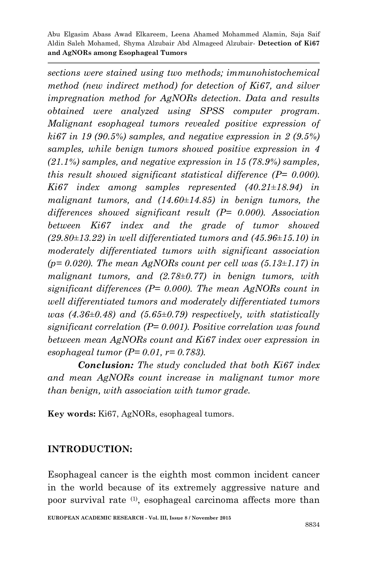*sections were stained using two methods; immunohistochemical method (new indirect method) for detection of Ki67, and silver impregnation method for AgNORs detection. Data and results obtained were analyzed using SPSS computer program. Malignant esophageal tumors revealed positive expression of ki67 in 19 (90.5%) samples, and negative expression in 2 (9.5%) samples, while benign tumors showed positive expression in 4 (21.1%) samples, and negative expression in 15 (78.9%) samples, this result showed significant statistical difference (P= 0.000). Ki67 index among samples represented (40.21±18.94) in malignant tumors, and (14.60±14.85) in benign tumors, the differences showed significant result (P= 0.000). Association between Ki67 index and the grade of tumor showed (29.80±13.22) in well differentiated tumors and (45.96±15.10) in moderately differentiated tumors with significant association*  $(p=0.020)$ . The mean AgNORs count per cell was  $(5.13\pm1.17)$  in *malignant tumors, and (2.78±0.77) in benign tumors, with significant differences (P= 0.000). The mean AgNORs count in well differentiated tumors and moderately differentiated tumors was (4.36±0.48) and (5.65±0.79) respectively, with statistically significant correlation (P= 0.001). Positive correlation was found between mean AgNORs count and Ki67 index over expression in esophageal tumor (P= 0.01, r= 0.783).*

*Conclusion: The study concluded that both Ki67 index and mean AgNORs count increase in malignant tumor more than benign, with association with tumor grade.* 

**Key words:** Ki67, AgNORs, esophageal tumors.

## **INTRODUCTION:**

Esophageal cancer is the eighth most common incident cancer in the world because of its extremely aggressive nature and poor survival rate <sup>(1)</sup>, esophageal carcinoma affects more than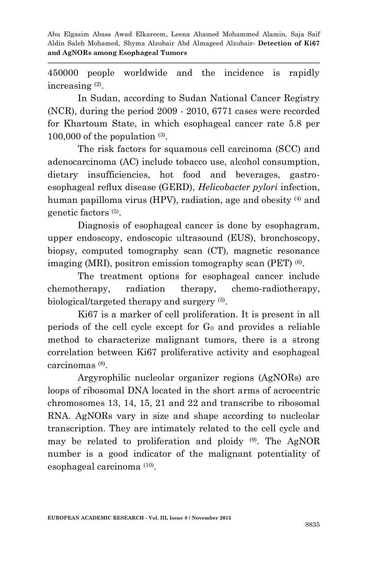450000 people worldwide and the incidence is rapidly increasing (2) .

In Sudan, according to Sudan National Cancer Registry (NCR), during the period 2009 - 2010, 6771 cases were recorded for Khartoum State, in which esophageal cancer rate 5.8 per  $100,000$  of the population  $(3)$ .

The risk factors for squamous cell carcinoma (SCC) and adenocarcinoma (AC) include tobacco use, alcohol consumption, dietary insufficiencies, hot food and beverages, gastroesophageal reflux disease (GERD), *Helicobacter pylori* infection, human papilloma virus (HPV), radiation, age and obesity <sup>(4)</sup> and genetic factors (5) .

Diagnosis of esophageal cancer is done by esophagram, upper endoscopy, endoscopic ultrasound (EUS), bronchoscopy, biopsy, computed tomography scan (CT), magnetic resonance imaging (MRI), positron emission tomography scan (PET) <sup>(6)</sup>.

The treatment options for esophageal cancer include chemotherapy, radiation therapy, chemo-radiotherapy, biological/targeted therapy and surgery  $(5)$ .

Ki67 is a marker of cell proliferation. It is present in all periods of the cell cycle except for G<sup>0</sup> and provides a reliable method to characterize malignant tumors, there is a strong correlation between Ki67 proliferative activity and esophageal carcinomas<sup>(8)</sup>.

Argyrophilic nucleolar organizer regions (AgNORs) are loops of ribosomal DNA located in the short arms of acrocentric chromosomes 13, 14, 15, 21 and 22 and transcribe to ribosomal RNA. AgNORs vary in size and shape according to nucleolar transcription. They are intimately related to the cell cycle and may be related to proliferation and ploidy (9). The AgNOR number is a good indicator of the malignant potentiality of esophageal carcinoma (10) .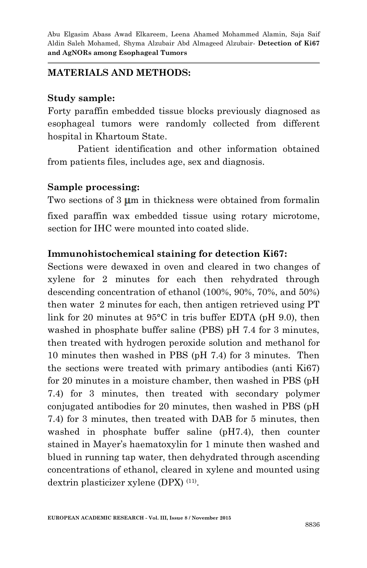#### **MATERIALS AND METHODS:**

#### **Study sample:**

Forty paraffin embedded tissue blocks previously diagnosed as esophageal tumors were randomly collected from different hospital in Khartoum State.

Patient identification and other information obtained from patients files, includes age, sex and diagnosis.

#### **Sample processing:**

Two sections of  $3 \mu m$  in thickness were obtained from formalin fixed paraffin wax embedded tissue using rotary microtome, section for IHC were mounted into coated slide.

## **Immunohistochemical staining for detection Ki67:**

Sections were dewaxed in oven and cleared in two changes of xylene for 2 minutes for each then rehydrated through descending concentration of ethanol (100%, 90%, 70%, and 50%) then water 2 minutes for each, then antigen retrieved using PT link for 20 minutes at 95°C in tris buffer EDTA (pH 9.0), then washed in phosphate buffer saline (PBS) pH 7.4 for 3 minutes, then treated with hydrogen peroxide solution and methanol for 10 minutes then washed in PBS (pH 7.4) for 3 minutes. Then the sections were treated with primary antibodies (anti Ki67) for 20 minutes in a moisture chamber, then washed in PBS (pH 7.4) for 3 minutes, then treated with secondary polymer conjugated antibodies for 20 minutes, then washed in PBS (pH 7.4) for 3 minutes, then treated with DAB for 5 minutes, then washed in phosphate buffer saline (pH7.4), then counter stained in Mayer's haematoxylin for 1 minute then washed and blued in running tap water, then dehydrated through ascending concentrations of ethanol, cleared in xylene and mounted using dextrin plasticizer xylene (DPX) (11) .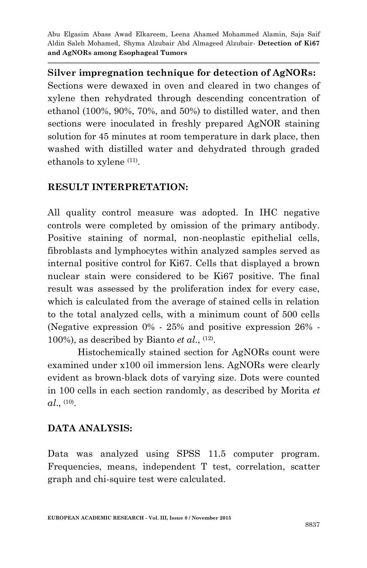**Silver impregnation technique for detection of AgNORs:** Sections were dewaxed in oven and cleared in two changes of xylene then rehydrated through descending concentration of ethanol (100%, 90%, 70%, and 50%) to distilled water, and then sections were inoculated in freshly prepared AgNOR staining solution for 45 minutes at room temperature in dark place, then washed with distilled water and dehydrated through graded ethanols to xylene <sup>(11)</sup>.

# **RESULT INTERPRETATION:**

All quality control measure was adopted. In IHC negative controls were completed by omission of the primary antibody. Positive staining of normal, non-neoplastic epithelial cells, fibroblasts and lymphocytes within analyzed samples served as internal positive control for Ki67. Cells that displayed a brown nuclear stain were considered to be Ki67 positive. The final result was assessed by the proliferation index for every case, which is calculated from the average of stained cells in relation to the total analyzed cells, with a minimum count of 500 cells (Negative expression 0% - 25% and positive expression 26% - 100%), as described by Bianto  $et al.,$  <sup>(12)</sup>.

Histochemically stained section for AgNORs count were examined under x100 oil immersion lens. AgNORs were clearly evident as brown-black dots of varying size. Dots were counted in 100 cells in each section randomly, as described by Morita *et*   $al.,$ <sup>(10)</sup>.

## **DATA ANALYSIS:**

Data was analyzed using SPSS 11.5 computer program. Frequencies, means, independent T test, correlation, scatter graph and chi-squire test were calculated.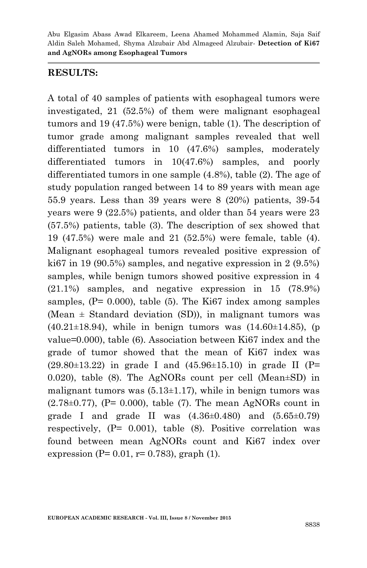#### **RESULTS:**

A total of 40 samples of patients with esophageal tumors were investigated, 21 (52.5%) of them were malignant esophageal tumors and 19 (47.5%) were benign, table (1). The description of tumor grade among malignant samples revealed that well differentiated tumors in 10 (47.6%) samples, moderately differentiated tumors in 10(47.6%) samples, and poorly differentiated tumors in one sample (4.8%), table (2). The age of study population ranged between 14 to 89 years with mean age 55.9 years. Less than 39 years were 8 (20%) patients, 39-54 years were 9 (22.5%) patients, and older than 54 years were 23 (57.5%) patients, table (3). The description of sex showed that 19 (47.5%) were male and 21 (52.5%) were female, table (4). Malignant esophageal tumors revealed positive expression of ki67 in 19 (90.5%) samples, and negative expression in 2 (9.5%) samples, while benign tumors showed positive expression in 4 (21.1%) samples, and negative expression in 15 (78.9%) samples,  $(P= 0.000)$ , table  $(5)$ . The Ki67 index among samples (Mean  $\pm$  Standard deviation (SD)), in malignant tumors was  $(40.21 \pm 18.94)$ , while in benign tumors was  $(14.60 \pm 14.85)$ , (p value=0.000), table (6). Association between Ki67 index and the grade of tumor showed that the mean of Ki67 index was  $(29.80 \pm 13.22)$  in grade I and  $(45.96 \pm 15.10)$  in grade II (P= 0.020), table (8). The AgNORs count per cell (Mean±SD) in malignant tumors was  $(5.13 \pm 1.17)$ , while in benign tumors was  $(2.78\pm0.77)$ , (P= 0.000), table (7). The mean AgNORs count in grade I and grade II was  $(4.36\pm0.480)$  and  $(5.65\pm0.79)$ respectively, (P= 0.001), table (8). Positive correlation was found between mean AgNORs count and Ki67 index over expression ( $P = 0.01$ ,  $r = 0.783$ ), graph (1).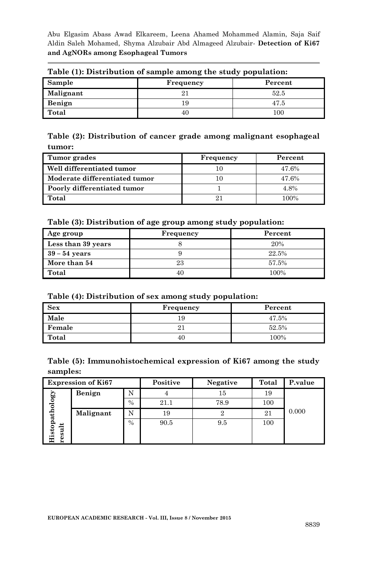| Table (1). Distribution of sample among the study population. |           |         |  |  |
|---------------------------------------------------------------|-----------|---------|--|--|
| Sample                                                        | Frequency | Percent |  |  |
| Malignant                                                     |           | 52.5    |  |  |
| Benign                                                        |           | 47.5    |  |  |
| Total                                                         | 40        | $100\,$ |  |  |

**Table (2): Distribution of cancer grade among malignant esophageal tumor:**

| Tumor grades                  | Frequency   | Percent |
|-------------------------------|-------------|---------|
| Well differentiated tumor     | 10          | 47.6%   |
| Moderate differentiated tumor | 10          | 47.6%   |
| Poorly differentiated tumor   |             | 4.8%    |
| Total                         | $2^{\circ}$ | 100%    |

#### **Table (3): Distribution of age group among study population:**

| Age group          | Frequency | Percent |
|--------------------|-----------|---------|
| Less than 39 years |           | 20%     |
| $39 - 54$ years    |           | 22.5%   |
| More than 54       | 23        | 57.5%   |
| Total              |           | 100%    |

#### **Table (4): Distribution of sex among study population:**

| Sex    | Frequency     | Percent |
|--------|---------------|---------|
| Male   |               | 47.5%   |
| Female | $\mathcal{D}$ | 52.5%   |
| Total  | 40            | 100%    |

|          | Table (5): Immunohistochemical expression of Ki67 among the study |  |  |  |
|----------|-------------------------------------------------------------------|--|--|--|
| samples: |                                                                   |  |  |  |

|           |                           | Positive | <b>Negative</b> | Total | P.value |
|-----------|---------------------------|----------|-----------------|-------|---------|
| Benign    | N                         |          | 15              | 19    |         |
|           | $\%$                      | 21.1     | 78.9            | 100   |         |
| Malignant | N                         | 19       |                 | 21    | 0.000   |
|           | $\frac{0}{0}$             | 90.5     | 9.5             | 100   |         |
|           |                           |          |                 |       |         |
|           | <b>Expression of Ki67</b> |          |                 |       |         |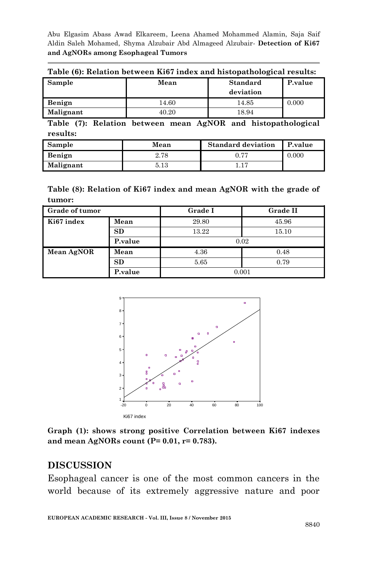| Table (6): Relation between Ki67 index and histopathological results: |                                                 |       |       |  |  |
|-----------------------------------------------------------------------|-------------------------------------------------|-------|-------|--|--|
| Sample                                                                | P.value<br><b>Standard</b><br>Mean<br>deviation |       |       |  |  |
| Benign                                                                | 14.60                                           | 14.85 | 0.000 |  |  |
| Malignant<br>18.94<br>40.20                                           |                                                 |       |       |  |  |

**Table (7): Relation between mean AgNOR and histopathological results:**

| Sample    | Mean     | <b>Standard deviation</b> | P.value |
|-----------|----------|---------------------------|---------|
| Benign    | 2.78     |                           | 0.000   |
| Malignant | $5.13\,$ |                           |         |

**Table (8): Relation of Ki67 index and mean AgNOR with the grade of tumor:**

| <b>Grade of tumor</b> |         | Grade I<br><b>Grade II</b> |       |  |
|-----------------------|---------|----------------------------|-------|--|
| Ki67 index            | Mean    | 29.80<br>45.96             |       |  |
|                       | SD      | 13.22                      | 15.10 |  |
|                       | P.value | 0.02                       |       |  |
| Mean AgNOR            | Mean    | 4.36<br>0.48               |       |  |
|                       | SD      | 5.65                       | 0.79  |  |
|                       | P.value | 0.001                      |       |  |



**Graph (1): shows strong positive Correlation between Ki67 indexes and mean AgNORs count (P= 0.01, r= 0.783).**

## **DISCUSSION**

Esophageal cancer is one of the most common cancers in the world because of its extremely aggressive nature and poor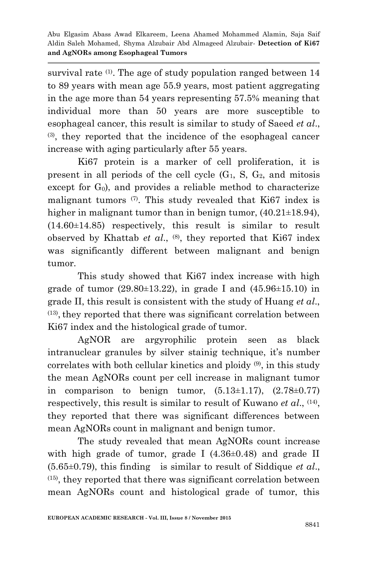survival rate <sup>(1)</sup>. The age of study population ranged between 14 to 89 years with mean age 55.9 years, most patient aggregating in the age more than 54 years representing 57.5% meaning that individual more than 50 years are more susceptible to esophageal cancer, this result is similar to study of Saeed *et al*., (3) , they reported that the incidence of the esophageal cancer increase with aging particularly after 55 years.

Ki67 protein is a marker of cell proliferation, it is present in all periods of the cell cycle  $(G_1, S, G_2, A)$  and mitosis except for  $G_0$ , and provides a reliable method to characterize malignant tumors  $(7)$ . This study revealed that Ki67 index is higher in malignant tumor than in benign tumor,  $(40.21\pm18.94)$ , (14.60±14.85) respectively, this result is similar to result observed by Khattab *et al*., (8) , they reported that Ki67 index was significantly different between malignant and benign tumor.

This study showed that Ki67 index increase with high grade of tumor  $(29.80 \pm 13.22)$ , in grade I and  $(45.96 \pm 15.10)$  in grade II, this result is consistent with the study of Huang *et al*., (13) , they reported that there was significant correlation between Ki67 index and the histological grade of tumor.

AgNOR are argyrophilic protein seen as black intranuclear granules by silver stainig technique, it's number correlates with both cellular kinetics and ploidy (9) , in this study the mean AgNORs count per cell increase in malignant tumor in comparison to benign tumor,  $(5.13 \pm 1.17)$ ,  $(2.78 \pm 0.77)$ respectively, this result is similar to result of Kuwano *et al.*, <sup>(14)</sup>, they reported that there was significant differences between mean AgNORs count in malignant and benign tumor.

The study revealed that mean AgNORs count increase with high grade of tumor, grade I (4.36±0.48) and grade II (5.65±0.79), this finding is similar to result of Siddique *et al*., (15) , they reported that there was significant correlation between mean AgNORs count and histological grade of tumor, this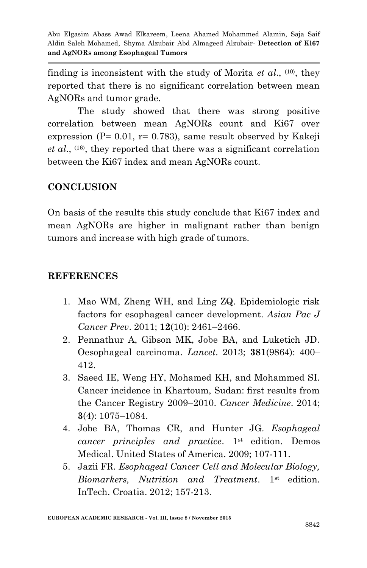finding is inconsistent with the study of Morita *et al.*, <sup>(10)</sup>, they reported that there is no significant correlation between mean AgNORs and tumor grade.

The study showed that there was strong positive correlation between mean AgNORs count and Ki67 over expression ( $P = 0.01$ ,  $r = 0.783$ ), same result observed by Kakeji *et al*., (16) , they reported that there was a significant correlation between the Ki67 index and mean AgNORs count.

# **CONCLUSION**

On basis of the results this study conclude that Ki67 index and mean AgNORs are higher in malignant rather than benign tumors and increase with high grade of tumors.

#### **REFERENCES**

- 1. Mao WM, Zheng WH, and Ling ZQ. Epidemiologic risk factors for esophageal cancer development. *Asian Pac J Cancer Prev*. 2011; **12**(10): 2461–2466.
- 2. Pennathur A, Gibson MK, Jobe BA, and Luketich JD. Oesophageal carcinoma. *Lancet*. 2013; **381**(9864): 400– 412.
- 3. Saeed IE, Weng HY, Mohamed KH, and Mohammed SI. Cancer incidence in Khartoum, Sudan: first results from the Cancer Registry 2009–2010. *Cancer Medicine*. 2014; **3**(4): 1075–1084.
- 4. Jobe BA, Thomas CR, and Hunter JG. *Esophageal cancer principles and practice*. 1st edition. Demos Medical. United States of America. 2009; 107-111.
- 5. Jazii FR. *Esophageal Cancer Cell and Molecular Biology, Biomarkers, Nutrition and Treatment*. 1st edition. InTech. Croatia. 2012; 157-213.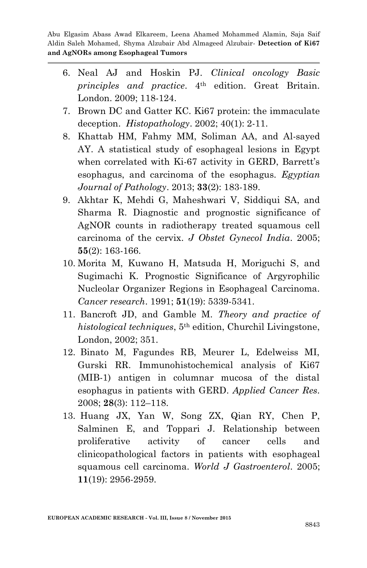- 6. Neal AJ and Hoskin PJ. *Clinical oncology Basic principles and practice*. 4th edition. Great Britain. London. 2009; 118-124.
- 7. Brown DC and Gatter KC. Ki67 protein: the immaculate deception. *Histopathology*. 2002; 40(1): 2-11.
- 8. Khattab HM, Fahmy MM, Soliman AA, and Al-sayed AY. A statistical study of esophageal lesions in Egypt when correlated with Ki-67 activity in GERD, Barrett's esophagus, and carcinoma of the esophagus. *Egyptian Journal of Pathology*. 2013; **33**(2): 183-189.
- 9. Akhtar K, Mehdi G, Maheshwari V, Siddiqui SA, and Sharma R. Diagnostic and prognostic significance of AgNOR counts in radiotherapy treated squamous cell carcinoma of the cervix. *J Obstet Gynecol India*. 2005; **55**(2): 163-166.
- 10. Morita M, Kuwano H, Matsuda H, Moriguchi S, and Sugimachi K. Prognostic Significance of Argyrophilic Nucleolar Organizer Regions in Esophageal Carcinoma. *Cancer research*. 1991; **51**(19): 5339-5341.
- 11. Bancroft JD, and Gamble M. *Theory and practice of histological techniques*, 5th edition, Churchil Livingstone, London, 2002; 351.
- 12. Binato M, Fagundes RB, Meurer L, Edelweiss MI, Gurski RR. Immunohistochemical analysis of Ki67 (MIB-1) antigen in columnar mucosa of the distal esophagus in patients with GERD. *Applied Cancer Res*. 2008; **28**(3): 112–118.
- 13. Huang JX, Yan W, Song ZX, Qian RY, Chen P, Salminen E, and Toppari J. Relationship between proliferative activity of cancer cells and clinicopathological factors in patients with esophageal squamous cell carcinoma. *World J Gastroenterol*. 2005; **11**(19): 2956-2959.